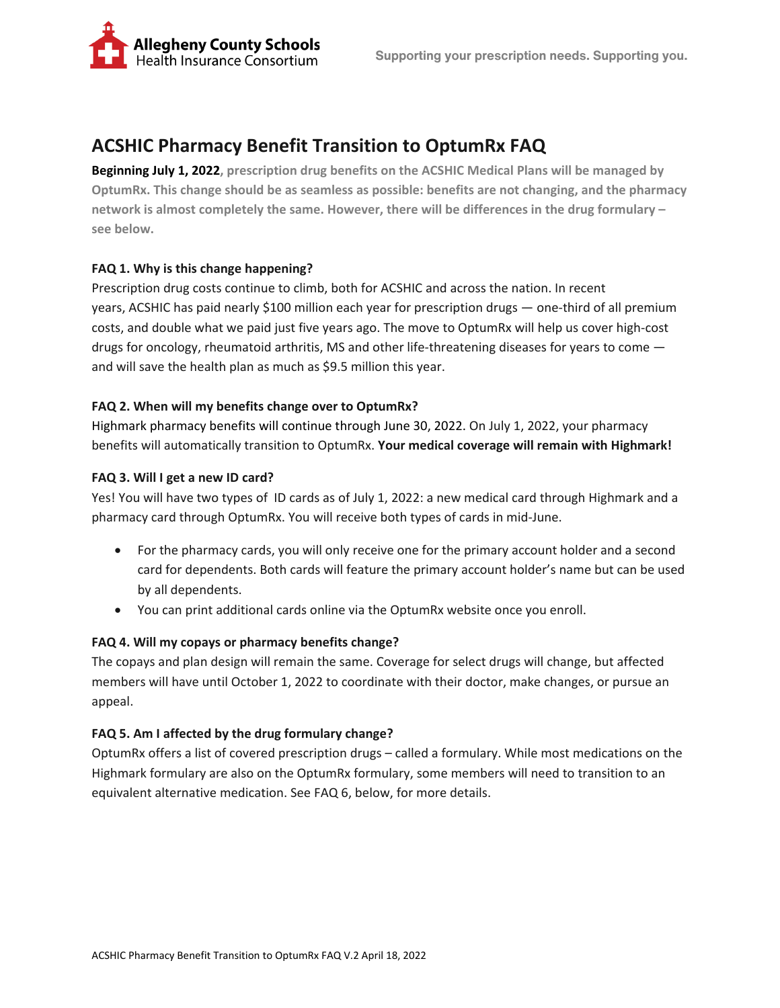

# **ACSHIC Pharmacy Benefit Transition to OptumRx FAQ**

**Beginning July 1, 2022, prescription drug benefits on the ACSHIC Medical Plans will be managed by OptumRx. This change should be as seamless as possible: benefits are not changing, and the pharmacy network is almost completely the same. However, there will be differences in the drug formulary – see below.** 

# **FAQ 1. Why is this change happening?**

Prescription drug costs continue to climb, both for ACSHIC and across the nation. In recent years, ACSHIC has paid nearly \$100 million each year for prescription drugs — one-third of all premium costs, and double what we paid just five years ago. The move to OptumRx will help us cover high-cost drugs for oncology, rheumatoid arthritis, MS and other life-threatening diseases for years to come and will save the health plan as much as \$9.5 million this year.

# **FAQ 2. When will my benefits change over to OptumRx?**

Highmark pharmacy benefits will continue through June 30, 2022. On July 1, 2022, your pharmacy benefits will automatically transition to OptumRx. **Your medical coverage will remain with Highmark!**

# **FAQ 3. Will I get a new ID card?**

Yes! You will have two types of ID cards as of July 1, 2022: a new medical card through Highmark and a pharmacy card through OptumRx. You will receive both types of cards in mid-June.

- For the pharmacy cards, you will only receive one for the primary account holder and a second card for dependents. Both cards will feature the primary account holder's name but can be used by all dependents.
- You can print additional cards online via the OptumRx website once you enroll.

# **FAQ 4. Will my copays or pharmacy benefits change?**

The copays and plan design will remain the same. Coverage for select drugs will change, but affected members will have until October 1, 2022 to coordinate with their doctor, make changes, or pursue an appeal.

# **FAQ 5. Am I affected by the drug formulary change?**

OptumRx offers a list of covered prescription drugs – called a formulary. While most medications on the Highmark formulary are also on the OptumRx formulary, some members will need to transition to an equivalent alternative medication. See FAQ 6, below, for more details.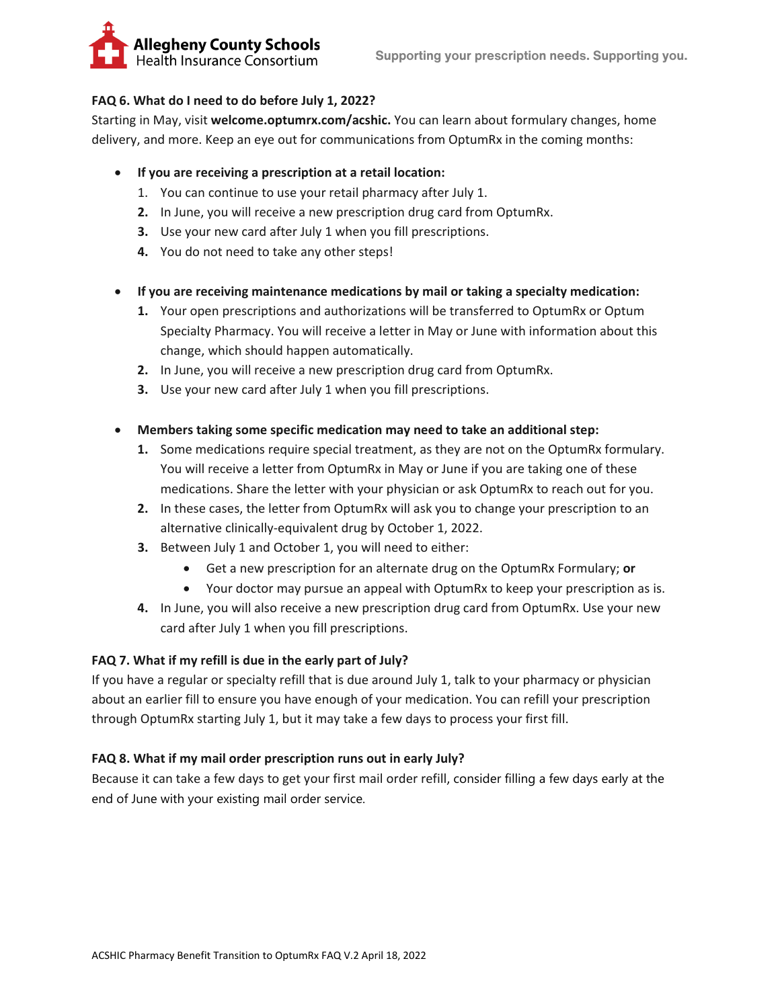

# **FAQ 6. What do I need to do before July 1, 2022?**

Starting in May, visit **welcome.optumrx.com/acshic.** You can learn about formulary changes, home delivery, and more. Keep an eye out for communications from OptumRx in the coming months:

#### • **If you are receiving a prescription at a retail location:**

- 1. You can continue to use your retail pharmacy after July 1.
- **2.** In June, you will receive a new prescription drug card from OptumRx.
- **3.** Use your new card after July 1 when you fill prescriptions.
- **4.** You do not need to take any other steps!
- **If you are receiving maintenance medications by mail or taking a specialty medication:**
	- **1.** Your open prescriptions and authorizations will be transferred to OptumRx or Optum Specialty Pharmacy. You will receive a letter in May or June with information about this change, which should happen automatically.
	- **2.** In June, you will receive a new prescription drug card from OptumRx.
	- **3.** Use your new card after July 1 when you fill prescriptions.
- **Members taking some specific medication may need to take an additional step:**
	- **1.** Some medications require special treatment, as they are not on the OptumRx formulary. You will receive a letter from OptumRx in May or June if you are taking one of these medications. Share the letter with your physician or ask OptumRx to reach out for you.
	- **2.** In these cases, the letter from OptumRx will ask you to change your prescription to an alternative clinically-equivalent drug by October 1, 2022.
	- **3.** Between July 1 and October 1, you will need to either:
		- Get a new prescription for an alternate drug on the OptumRx Formulary; **or**
		- Your doctor may pursue an appeal with OptumRx to keep your prescription as is.
	- **4.** In June, you will also receive a new prescription drug card from OptumRx. Use your new card after July 1 when you fill prescriptions.

# **FAQ 7. What if my refill is due in the early part of July?**

If you have a regular or specialty refill that is due around July 1, talk to your pharmacy or physician about an earlier fill to ensure you have enough of your medication. You can refill your prescription through OptumRx starting July 1, but it may take a few days to process your first fill.

# **FAQ 8. What if my mail order prescription runs out in early July?**

Because it can take a few days to get your first mail order refill, consider filling a few days early at the end of June with your existing mail order service.